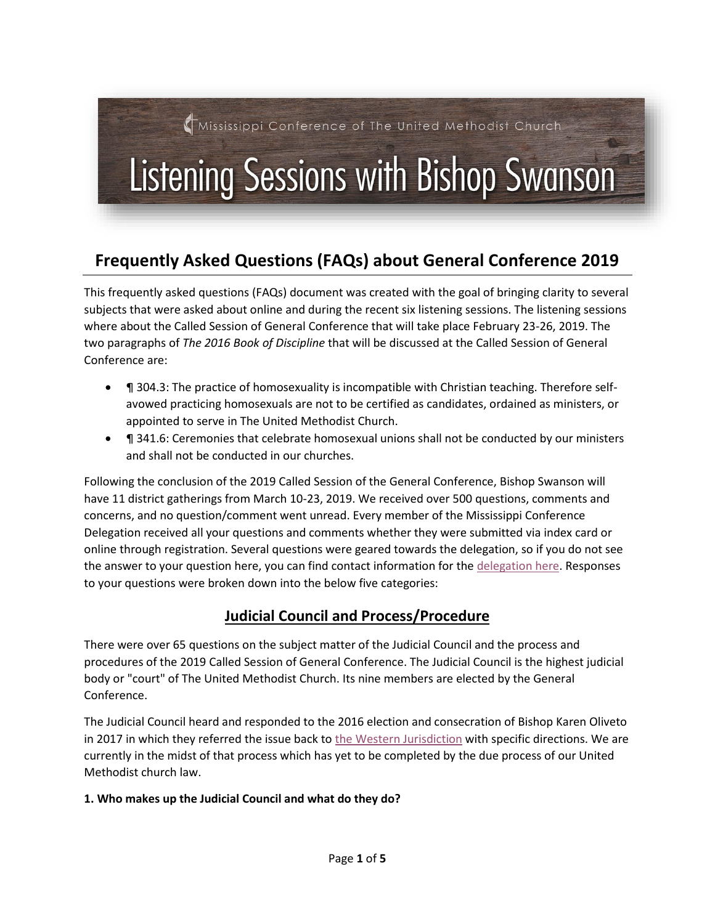# Mississippi Conference of The United Methodist Church

# Listening Sessions with Bishop Swanson

# **Frequently Asked Questions (FAQs) about General Conference 2019**

This frequently asked questions (FAQs) document was created with the goal of bringing clarity to several subjects that were asked about online and during the recent six listening sessions. The listening sessions where about the Called Session of General Conference that will take place February 23-26, 2019. The two paragraphs of *The 2016 Book of Discipline* that will be discussed at the Called Session of General Conference are:

- **The State 304.3:** The practice of homosexuality is incompatible with Christian teaching. Therefore selfavowed practicing homosexuals are not to be certified as candidates, ordained as ministers, or appointed to serve in The United Methodist Church.
- **T** 341.6: Ceremonies that celebrate homosexual unions shall not be conducted by our ministers and shall not be conducted in our churches.

Following the conclusion of the 2019 Called Session of the General Conference, Bishop Swanson will have 11 district gatherings from March 10-23, 2019. We received over 500 questions, comments and concerns, and no question/comment went unread. Every member of the Mississippi Conference Delegation received all your questions and comments whether they were submitted via index card or online through registration. Several questions were geared towards the delegation, so if you do not see the answer to your question here, you can find contact information for the [delegation here.](https://www.mississippi-umc.org/delegation) Responses to your questions were broken down into the below five categories:

# **Judicial Council and Process/Procedure**

There were over 65 questions on the subject matter of the Judicial Council and the process and procedures of the 2019 Called Session of General Conference. The Judicial Council is the highest judicial body or "court" of The United Methodist Church. Its nine members are elected by the General Conference.

The Judicial Council heard and responded to the 2016 election and consecration of Bishop Karen Oliveto in 2017 in which they referred the issue back to [the Western Jurisdiction](http://www.umc.org/decisions/71953) with specific directions. We are currently in the midst of that process which has yet to be completed by the due process of our United Methodist church law.

#### **1. Who makes up the Judicial Council and what do they do?**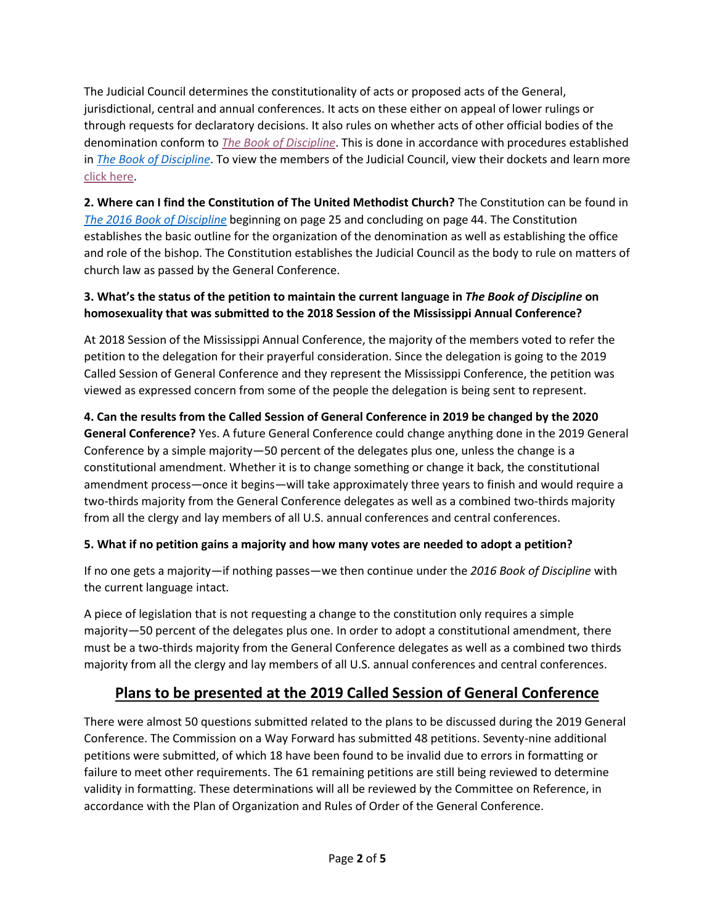The Judicial Council determines the constitutionality of acts or proposed acts of the General, jurisdictional, central and annual conferences. It acts on these either on appeal of lower rulings or through requests for declaratory decisions. It also rules on whether acts of other official bodies of the denomination conform to *[The Book of Discipline](https://www.cokesbury.com/forms/DynamicContent.aspx?id=87&pageid=920#9568)*. This is done in accordance with procedures established in *[The Book of Discipline](https://www.cokesbury.com/forms/DynamicContent.aspx?id=87&pageid=920#9568)*. To view the members of the Judicial Council, view their dockets and learn more [click here.](http://www.umc.org/who-we-are/judicial-council)

**2. Where can I find the Constitution of The United Methodist Church?** The Constitution can be found in *[The 2016 Book of Discipline](https://www.cokesbury.com/forms/DynamicContent.aspx?id=87&pageid=920#9568)* beginning on page 25 and concluding on page 44. The Constitution establishes the basic outline for the organization of the denomination as well as establishing the office and role of the bishop. The Constitution establishes the Judicial Council as the body to rule on matters of church law as passed by the General Conference.

#### **3. What's the status of the petition to maintain the current language in** *The Book of Discipline* **on homosexuality that was submitted to the 2018 Session of the Mississippi Annual Conference?**

At 2018 Session of the Mississippi Annual Conference, the majority of the members voted to refer the petition to the delegation for their prayerful consideration. Since the delegation is going to the 2019 Called Session of General Conference and they represent the Mississippi Conference, the petition was viewed as expressed concern from some of the people the delegation is being sent to represent.

#### **4. Can the results from the Called Session of General Conference in 2019 be changed by the 2020 General Conference?** Yes. A future General Conference could change anything done in the 2019 General Conference by a simple majority—50 percent of the delegates plus one, unless the change is a constitutional amendment. Whether it is to change something or change it back, the constitutional amendment process—once it begins—will take approximately three years to finish and would require a two-thirds majority from the General Conference delegates as well as a combined two-thirds majority from all the clergy and lay members of all U.S. annual conferences and central conferences.

#### **5. What if no petition gains a majority and how many votes are needed to adopt a petition?**

If no one gets a majority—if nothing passes—we then continue under the *2016 Book of Discipline* with the current language intact.

A piece of legislation that is not requesting a change to the constitution only requires a simple majority—50 percent of the delegates plus one. In order to adopt a constitutional amendment, there must be a two-thirds majority from the General Conference delegates as well as a combined two thirds majority from all the clergy and lay members of all U.S. annual conferences and central conferences.

# **Plans to be presented at the 2019 Called Session of General Conference**

There were almost 50 questions submitted related to the plans to be discussed during the 2019 General Conference. The Commission on a Way Forward has submitted 48 petitions. Seventy-nine additional petitions were submitted, of which 18 have been found to be invalid due to errors in formatting or failure to meet other requirements. The 61 remaining petitions are still being reviewed to determine validity in formatting. These determinations will all be reviewed by the Committee on Reference, in accordance with the Plan of Organization and Rules of Order of the General Conference.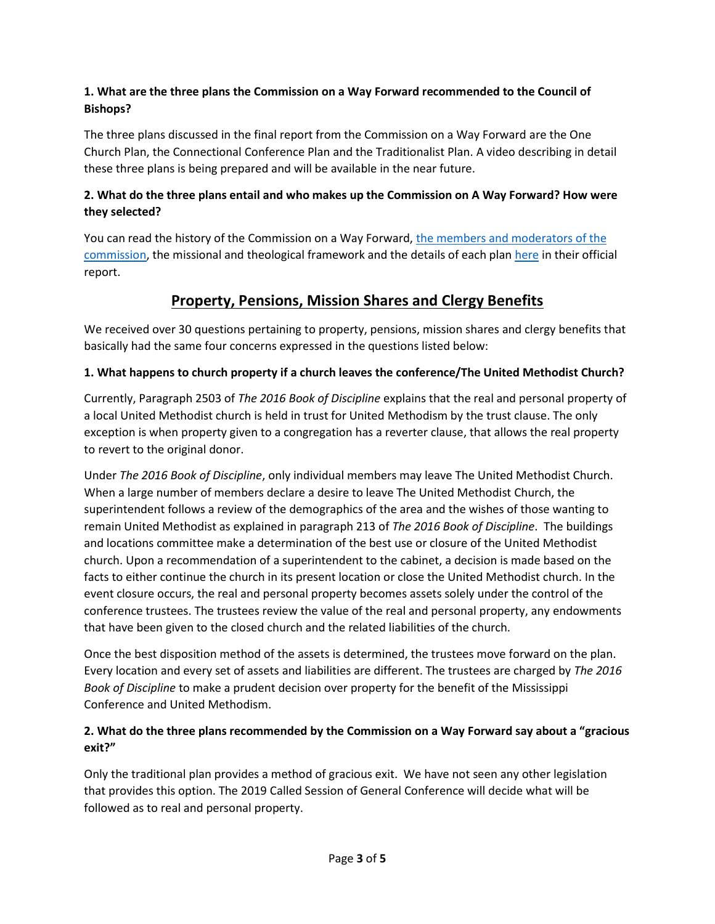#### **1. What are the three plans the Commission on a Way Forward recommended to the Council of Bishops?**

The three plans discussed in the final report from the Commission on a Way Forward are the One Church Plan, the Connectional Conference Plan and the Traditionalist Plan. A video describing in detail these three plans is being prepared and will be available in the near future.

#### **2. What do the three plans entail and who makes up the Commission on A Way Forward? How were they selected?**

You can read the history of the Commission on a Way Forward, [the members and moderators of the](http://www.umc.org/who-we-are/commission-on-a-way-forward-members)  [commission,](http://www.umc.org/who-we-are/commission-on-a-way-forward-members) the missional and theological framework and the details of each plan [here](http://s3.amazonaws.com/Website_Properties/council-of-bishops/news_and_statements/documents/Way_Forward_Report_-_Final_-_ENGLISH.pdf) in their official report.

# **Property, Pensions, Mission Shares and Clergy Benefits**

We received over 30 questions pertaining to property, pensions, mission shares and clergy benefits that basically had the same four concerns expressed in the questions listed below:

#### **1. What happens to church property if a church leaves the conference/The United Methodist Church?**

Currently, Paragraph 2503 of *The 2016 Book of Discipline* explains that the real and personal property of a local United Methodist church is held in trust for United Methodism by the trust clause. The only exception is when property given to a congregation has a reverter clause, that allows the real property to revert to the original donor.

Under *The 2016 Book of Discipline*, only individual members may leave The United Methodist Church. When a large number of members declare a desire to leave The United Methodist Church, the superintendent follows a review of the demographics of the area and the wishes of those wanting to remain United Methodist as explained in paragraph 213 of *The 2016 Book of Discipline*. The buildings and locations committee make a determination of the best use or closure of the United Methodist church. Upon a recommendation of a superintendent to the cabinet, a decision is made based on the facts to either continue the church in its present location or close the United Methodist church. In the event closure occurs, the real and personal property becomes assets solely under the control of the conference trustees. The trustees review the value of the real and personal property, any endowments that have been given to the closed church and the related liabilities of the church.

Once the best disposition method of the assets is determined, the trustees move forward on the plan. Every location and every set of assets and liabilities are different. The trustees are charged by *The 2016 Book of Discipline* to make a prudent decision over property for the benefit of the Mississippi Conference and United Methodism.

#### **2. What do the three plans recommended by the Commission on a Way Forward say about a "gracious exit?"**

Only the traditional plan provides a method of gracious exit. We have not seen any other legislation that provides this option. The 2019 Called Session of General Conference will decide what will be followed as to real and personal property.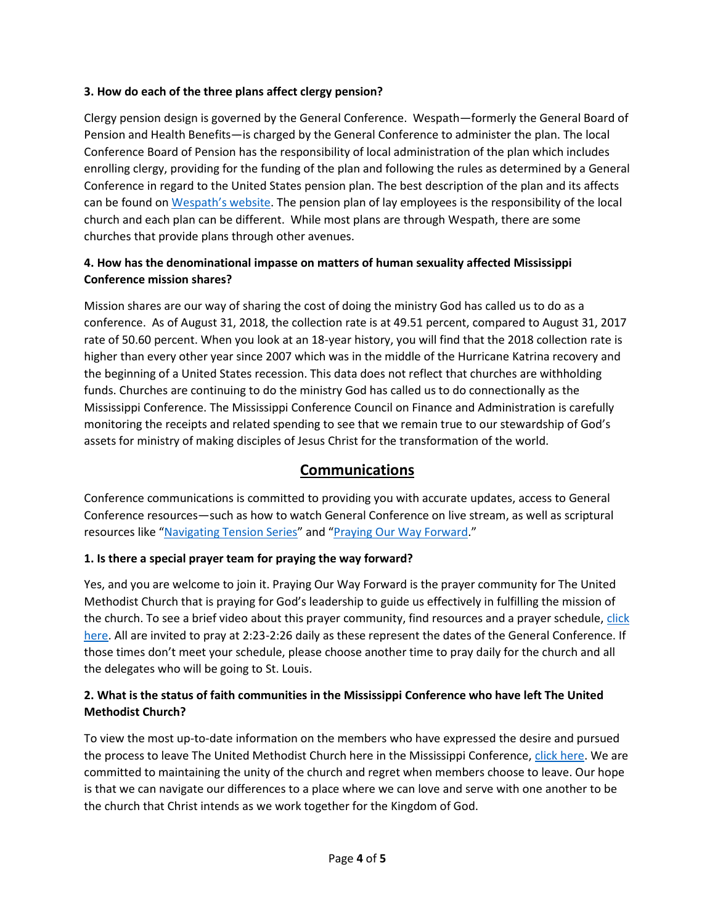#### **3. How do each of the three plans affect clergy pension?**

Clergy pension design is governed by the General Conference. Wespath—formerly the General Board of Pension and Health Benefits—is charged by the General Conference to administer the plan. The local Conference Board of Pension has the responsibility of local administration of the plan which includes enrolling clergy, providing for the funding of the plan and following the rules as determined by a General Conference in regard to the United States pension plan. The best description of the plan and its affects can be found on [Wespath's website](https://www.wespath.org/wayforwardwespathfaq/). The pension plan of lay employees is the responsibility of the local church and each plan can be different. While most plans are through Wespath, there are some churches that provide plans through other avenues.

#### **4. How has the denominational impasse on matters of human sexuality affected Mississippi Conference mission shares?**

Mission shares are our way of sharing the cost of doing the ministry God has called us to do as a conference. As of August 31, 2018, the collection rate is at 49.51 percent, compared to August 31, 2017 rate of 50.60 percent. When you look at an 18-year history, you will find that the 2018 collection rate is higher than every other year since 2007 which was in the middle of the Hurricane Katrina recovery and the beginning of a United States recession. This data does not reflect that churches are withholding funds. Churches are continuing to do the ministry God has called us to do connectionally as the Mississippi Conference. The Mississippi Conference Council on Finance and Administration is carefully monitoring the receipts and related spending to see that we remain true to our stewardship of God's assets for ministry of making disciples of Jesus Christ for the transformation of the world.

# **Communications**

Conference communications is committed to providing you with accurate updates, access to General Conference resources—such as how to watch General Conference on live stream, as well as scriptural resources like "[Navigating Tension Series](https://www.mississippi-umc.org/tension)" and "[Praying Our Way Forward](https://umcprays.org/)."

#### **1. Is there a special prayer team for praying the way forward?**

Yes, and you are welcome to join it. Praying Our Way Forward is the prayer community for The United Methodist Church that is praying for God's leadership to guide us effectively in fulfilling the mission of the church. To see a brief video about this prayer community, find resources and a prayer schedule[, click](https://umcprays.org/)  [here.](https://umcprays.org/) All are invited to pray at 2:23-2:26 daily as these represent the dates of the General Conference. If those times don't meet your schedule, please choose another time to pray daily for the church and all the delegates who will be going to St. Louis.

#### **2. What is the status of faith communities in the Mississippi Conference who have left The United Methodist Church?**

To view the most up-to-date information on the members who have expressed the desire and pursued the process to leave The United Methodist Church here in the Mississippi Conference, [click here.](https://www.mississippi-umc.org/churchestoleavetheumc) We are committed to maintaining the unity of the church and regret when members choose to leave. Our hope is that we can navigate our differences to a place where we can love and serve with one another to be the church that Christ intends as we work together for the Kingdom of God.